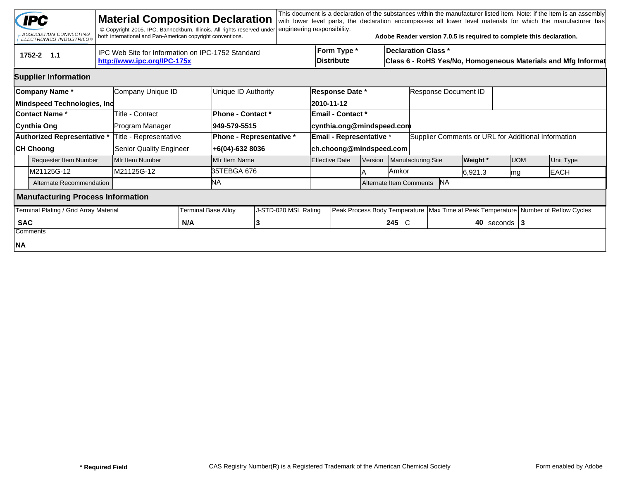|                                                                      | <b>IPC</b><br>ASSOCIATION CONNECTING<br><b>ELECTRONICS INDUSTRIES®</b> |  | <b>Material Composition Declaration</b><br>© Copyright 2005. IPC, Bannockburn, Illinois. All rights reserved under<br>both international and Pan-American copyright conventions. |    |                          | engineering responsibility.                                                                                              |                       |                                      |                                                      |                    | Adobe Reader version 7.0.5 is required to complete this declaration. |                 |                  |  | This document is a declaration of the substances within the manufacturer listed item. Note: if the item is an assembly<br>with lower level parts, the declaration encompasses all lower level materials for which the manufacturer has |  |
|----------------------------------------------------------------------|------------------------------------------------------------------------|--|----------------------------------------------------------------------------------------------------------------------------------------------------------------------------------|----|--------------------------|--------------------------------------------------------------------------------------------------------------------------|-----------------------|--------------------------------------|------------------------------------------------------|--------------------|----------------------------------------------------------------------|-----------------|------------------|--|----------------------------------------------------------------------------------------------------------------------------------------------------------------------------------------------------------------------------------------|--|
|                                                                      | 1752-2 1.1                                                             |  | IPC Web Site for Information on IPC-1752 Standard<br>http://www.ipc.org/IPC-175x                                                                                                 |    |                          | Form Type *<br><b>Declaration Class *</b><br>Distribute<br>Class 6 - RoHS Yes/No, Homogeneous Materials and Mfg Informat |                       |                                      |                                                      |                    |                                                                      |                 |                  |  |                                                                                                                                                                                                                                        |  |
|                                                                      | <b>Supplier Information</b>                                            |  |                                                                                                                                                                                  |    |                          |                                                                                                                          |                       |                                      |                                                      |                    |                                                                      |                 |                  |  |                                                                                                                                                                                                                                        |  |
| Company Name*<br>Mindspeed Technologies, Inc                         |                                                                        |  | Company Unique ID                                                                                                                                                                |    | Unique ID Authority      |                                                                                                                          |                       | Response Date *<br>2010-11-12        |                                                      |                    | Response Document ID                                                 |                 |                  |  |                                                                                                                                                                                                                                        |  |
| Contact Name *                                                       |                                                                        |  | <b>Title - Contact</b>                                                                                                                                                           |    | Phone - Contact *        |                                                                                                                          |                       | <b>Email - Contact *</b>             |                                                      |                    |                                                                      |                 |                  |  |                                                                                                                                                                                                                                        |  |
| Cynthia Ong                                                          |                                                                        |  | Program Manager                                                                                                                                                                  |    | 949-579-5515             |                                                                                                                          |                       | cynthia.ong@mindspeed.com            |                                                      |                    |                                                                      |                 |                  |  |                                                                                                                                                                                                                                        |  |
| <b>Authorized Representative *</b>                                   |                                                                        |  | Title - Representative                                                                                                                                                           |    | Phone - Representative * |                                                                                                                          |                       | <b>Email - Representative *</b>      |                                                      |                    | Supplier Comments or URL for Additional Information                  |                 |                  |  |                                                                                                                                                                                                                                        |  |
| <b>CH Choong</b>                                                     |                                                                        |  | <b>Senior Quality Engineer</b>                                                                                                                                                   |    | +6(04)-632 8036          |                                                                                                                          |                       | ch.choong@mindspeed.com              |                                                      |                    |                                                                      |                 |                  |  |                                                                                                                                                                                                                                        |  |
|                                                                      | <b>Requester Item Number</b>                                           |  | Mfr Item Number                                                                                                                                                                  |    | Mfr Item Name            |                                                                                                                          | <b>Effective Date</b> |                                      | <b>Version</b>                                       | Manufacturing Site |                                                                      | <b>Weight</b> * | <b>UOM</b>       |  | Unit Type                                                                                                                                                                                                                              |  |
|                                                                      | M21125G-12                                                             |  | M21125G-12                                                                                                                                                                       |    | 35TEBGA 676              |                                                                                                                          |                       |                                      |                                                      | Amkor              |                                                                      | 6,921.3<br> mg  |                  |  | <b>EACH</b>                                                                                                                                                                                                                            |  |
|                                                                      | Alternate Recommendation                                               |  |                                                                                                                                                                                  | ΝA |                          |                                                                                                                          |                       | <b>NA</b><br>Alternate Item Comments |                                                      |                    |                                                                      |                 |                  |  |                                                                                                                                                                                                                                        |  |
| <b>Manufacturing Process Information</b>                             |                                                                        |  |                                                                                                                                                                                  |    |                          |                                                                                                                          |                       |                                      |                                                      |                    |                                                                      |                 |                  |  |                                                                                                                                                                                                                                        |  |
| Terminal Plating / Grid Array Material<br><b>Terminal Base Alloy</b> |                                                                        |  |                                                                                                                                                                                  |    | J-STD-020 MSL Rating     | Peak Process Body Temperature                                                                                            |                       |                                      | Max Time at Peak Temperature Number of Reflow Cycles |                    |                                                                      |                 |                  |  |                                                                                                                                                                                                                                        |  |
| <b>SAC</b>                                                           |                                                                        |  | N/A                                                                                                                                                                              |    |                          |                                                                                                                          |                       |                                      |                                                      | 245 C              |                                                                      |                 | 40 seconds $ 3 $ |  |                                                                                                                                                                                                                                        |  |
|                                                                      | Comments                                                               |  |                                                                                                                                                                                  |    |                          |                                                                                                                          |                       |                                      |                                                      |                    |                                                                      |                 |                  |  |                                                                                                                                                                                                                                        |  |
| NA                                                                   |                                                                        |  |                                                                                                                                                                                  |    |                          |                                                                                                                          |                       |                                      |                                                      |                    |                                                                      |                 |                  |  |                                                                                                                                                                                                                                        |  |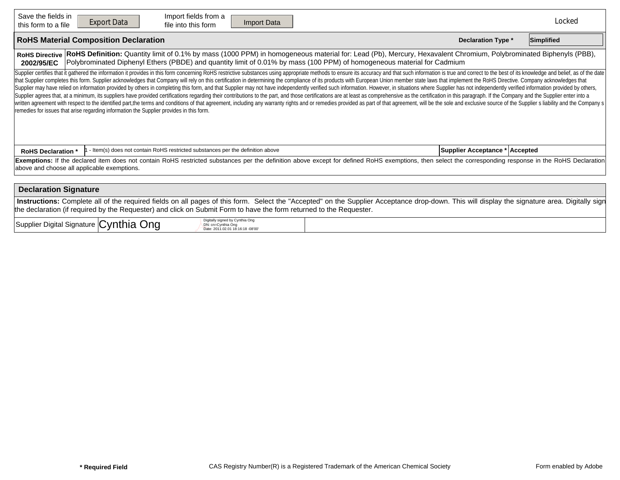| Save the fields in<br>this form to a file                                                                                                                                                                                                                                                                                                                                                                                                                                                                                                                                                                                                                                                                                                                                                                                                                                                                                                                                                                                                                                                                                                                                                                                                                         | Import fields from a<br><b>Export Data</b><br>Import Data<br>file into this form                                                     |  | Locked |  |  |  |  |  |  |  |  |
|-------------------------------------------------------------------------------------------------------------------------------------------------------------------------------------------------------------------------------------------------------------------------------------------------------------------------------------------------------------------------------------------------------------------------------------------------------------------------------------------------------------------------------------------------------------------------------------------------------------------------------------------------------------------------------------------------------------------------------------------------------------------------------------------------------------------------------------------------------------------------------------------------------------------------------------------------------------------------------------------------------------------------------------------------------------------------------------------------------------------------------------------------------------------------------------------------------------------------------------------------------------------|--------------------------------------------------------------------------------------------------------------------------------------|--|--------|--|--|--|--|--|--|--|--|
| <b>RoHS Material Composition Declaration</b><br><b>Declaration Type *</b><br>Simplified                                                                                                                                                                                                                                                                                                                                                                                                                                                                                                                                                                                                                                                                                                                                                                                                                                                                                                                                                                                                                                                                                                                                                                           |                                                                                                                                      |  |        |  |  |  |  |  |  |  |  |
| RoHS Definition: Quantity limit of 0.1% by mass (1000 PPM) in homogeneous material for: Lead (Pb), Mercury, Hexavalent Chromium, Polybrominated Biphenyls (PBB),<br><b>RoHS Directive</b><br>Polybrominated Diphenyl Ethers (PBDE) and quantity limit of 0.01% by mass (100 PPM) of homogeneous material for Cadmium<br>2002/95/EC                                                                                                                                                                                                                                                                                                                                                                                                                                                                                                                                                                                                                                                                                                                                                                                                                                                                                                                                |                                                                                                                                      |  |        |  |  |  |  |  |  |  |  |
| Supplier certifies that it gathered the information it provides in this form concerning RoHS restrictive substances using appropriate methods to ensure its accuracy and that such information is true and correct to the best<br>that Supplier completes this form. Supplier acknowledges that Company will rely on this certification in determining the compliance of its products with European Union member state laws that implement the RoHS Directive. C<br>Supplier may have relied on information provided by others in completing this form, and that Supplier may not have independently verified such information. However, in situations where Supplier has not independently verifi<br>Supplier agrees that, at a minimum, its suppliers have provided certifications regarding their contributions to the part, and those certifications are at least as comprehensive as the certification in this paragraph. If th<br>written agreement with respect to the identified part, the terms and conditions of that agreement, including any warranty rights and or remedies provided as part of that agreement, will be the sole and exclusive source of<br>remedies for issues that arise regarding information the Supplier provides in this form. |                                                                                                                                      |  |        |  |  |  |  |  |  |  |  |
| <b>RoHS Declaration *</b>                                                                                                                                                                                                                                                                                                                                                                                                                                                                                                                                                                                                                                                                                                                                                                                                                                                                                                                                                                                                                                                                                                                                                                                                                                         | - Item(s) does not contain RoHS restricted substances per the definition above<br>Supplier Acceptance * Accepted                     |  |        |  |  |  |  |  |  |  |  |
| Exemptions: If the declared item does not contain RoHS restricted substances per the definition above except for defined RoHS exemptions, then select the corresponding response in the RoHS Declaration<br>above and choose all applicable exemptions.                                                                                                                                                                                                                                                                                                                                                                                                                                                                                                                                                                                                                                                                                                                                                                                                                                                                                                                                                                                                           |                                                                                                                                      |  |        |  |  |  |  |  |  |  |  |
| <b>Declaration Signature</b>                                                                                                                                                                                                                                                                                                                                                                                                                                                                                                                                                                                                                                                                                                                                                                                                                                                                                                                                                                                                                                                                                                                                                                                                                                      |                                                                                                                                      |  |        |  |  |  |  |  |  |  |  |
| Instructions: Complete all of the required fields on all pages of this form. Select the "Accepted" on the Supplier Acceptance drop-down. This will display the signature area. Digitally sign<br>the declaration (if required by the Requester) and click on Submit Form to have the form returned to the Requester.                                                                                                                                                                                                                                                                                                                                                                                                                                                                                                                                                                                                                                                                                                                                                                                                                                                                                                                                              |                                                                                                                                      |  |        |  |  |  |  |  |  |  |  |
|                                                                                                                                                                                                                                                                                                                                                                                                                                                                                                                                                                                                                                                                                                                                                                                                                                                                                                                                                                                                                                                                                                                                                                                                                                                                   | Digitally signed by Cynthia Ong<br>Supplier Digital Signature Cynthia Ong<br>DN: cn=Cynthia Ong<br>Date: 2011.02.01 18:16:18 -08'00' |  |        |  |  |  |  |  |  |  |  |